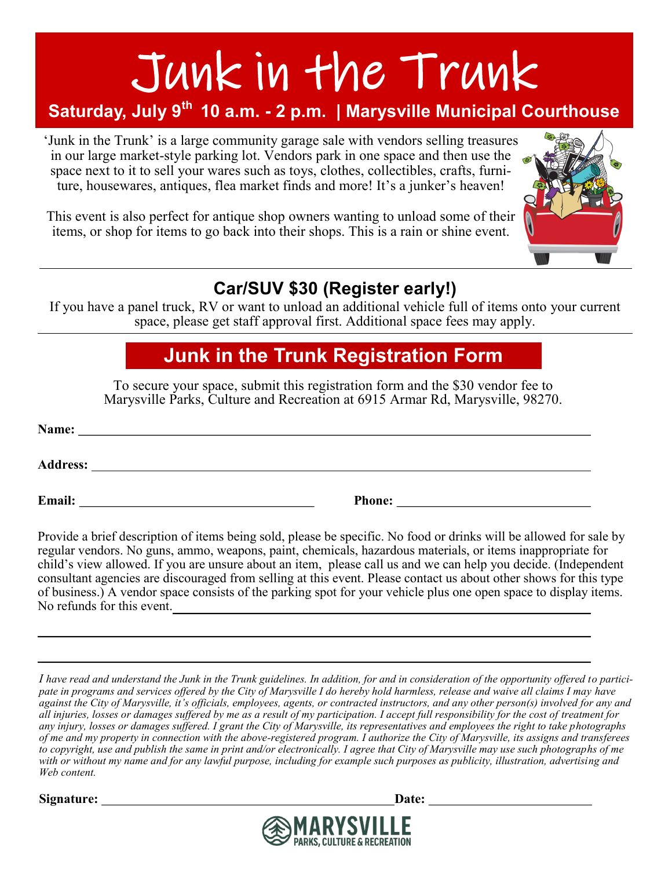# Junk in the Trunk

## **Saturday, July 9th 10 a.m. - 2 p.m. | Marysville Municipal Courthouse**

'Junk in the Trunk' is a large community garage sale with vendors selling treasures in our large market-style parking lot. Vendors park in one space and then use the space next to it to sell your wares such as toys, clothes, collectibles, crafts, furniture, housewares, antiques, flea market finds and more! It's a junker's heaven!

This event is also perfect for antique shop owners wanting to unload some of their items, or shop for items to go back into their shops. This is a rain or shine event.



### **Car/SUV \$30 (Register early!)**

If you have a panel truck, RV or want to unload an additional vehicle full of items onto your current space, please get staff approval first. Additional space fees may apply.

## **Junk in the Trunk Registration Form**

To secure your space, submit this registration form and the \$30 vendor fee to Marysville Parks, Culture and Recreation at 6915 Armar Rd, Marysville, 98270.

| Name:           |               |  |
|-----------------|---------------|--|
| <b>Address:</b> |               |  |
| Email:          | <b>Phone:</b> |  |

Provide a brief description of items being sold, please be specific. No food or drinks will be allowed for sale by regular vendors. No guns, ammo, weapons, paint, chemicals, hazardous materials, or items inappropriate for child's view allowed. If you are unsure about an item, please call us and we can help you decide. (Independent consultant agencies are discouraged from selling at this event. Please contact us about other shows for this type of business.) A vendor space consists of the parking spot for your vehicle plus one open space to display items. No refunds for this event.

*I have read and understand the Junk in the Trunk guidelines. In addition, for and in consideration of the opportunity offered to participate in programs and services offered by the City of Marysville I do hereby hold harmless, release and waive all claims I may have against the City of Marysville, it's officials, employees, agents, or contracted instructors, and any other person(s) involved for any and all injuries, losses or damages suffered by me as a result of my participation. I accept full responsibility for the cost of treatment for any injury, losses or damages suffered. I grant the City of Marysville, its representatives and employees the right to take photographs of me and my property in connection with the above-registered program. I authorize the City of Marysville, its assigns and transferees to copyright, use and publish the same in print and/or electronically. I agree that City of Marysville may use such photographs of me with or without my name and for any lawful purpose, including for example such purposes as publicity, illustration, advertising and Web content.*

**Signature: Date:**